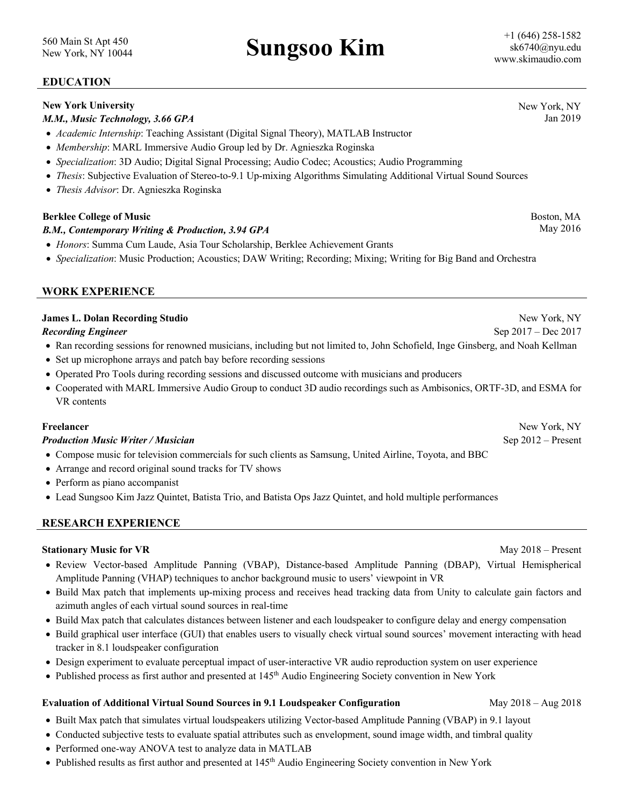New York, NY 10044 **Sungsoo Kim**

## **EDUCATION**

### **New York University**

### *M.M., Music Technology, 3.66 GPA*

- *Academic Internship*: Teaching Assistant (Digital Signal Theory), MATLAB Instructor
- *Membership*: MARL Immersive Audio Group led by Dr. Agnieszka Roginska
- *Specialization*: 3D Audio; Digital Signal Processing; Audio Codec; Acoustics; Audio Programming
- *Thesis*: Subjective Evaluation of Stereo-to-9.1 Up-mixing Algorithms Simulating Additional Virtual Sound Sources
- *Thesis Advisor*: Dr. Agnieszka Roginska

### **Berklee College of Music**

### *B.M., Contemporary Writing & Production, 3.94 GPA*

- *Honors*: Summa Cum Laude, Asia Tour Scholarship, Berklee Achievement Grants
- *Specialization*: Music Production; Acoustics; DAW Writing; Recording; Mixing; Writing for Big Band and Orchestra

## **WORK EXPERIENCE**

### **James L. Dolan Recording Studio**

*Recording Engineer*

- Ran recording sessions for renowned musicians, including but not limited to, John Schofield, Inge Ginsberg, and Noah Kellman
- Set up microphone arrays and patch bay before recording sessions
- Operated Pro Tools during recording sessions and discussed outcome with musicians and producers
- Cooperated with MARL Immersive Audio Group to conduct 3D audio recordings such as Ambisonics, ORTF-3D, and ESMA for VR contents

### **Freelancer**

### *Production Music Writer / Musician*

- Compose music for television commercials for such clients as Samsung, United Airline, Toyota, and BBC
- Arrange and record original sound tracks for TV shows
- Perform as piano accompanist
- Lead Sungsoo Kim Jazz Quintet, Batista Trio, and Batista Ops Jazz Quintet, and hold multiple performances

### **RESEARCH EXPERIENCE**

### **Stationary Music for VR** May 2018 – Present

- Review Vector-based Amplitude Panning (VBAP), Distance-based Amplitude Panning (DBAP), Virtual Hemispherical Amplitude Panning (VHAP) techniques to anchor background music to users' viewpoint in VR
- Build Max patch that implements up-mixing process and receives head tracking data from Unity to calculate gain factors and azimuth angles of each virtual sound sources in real-time
- Build Max patch that calculates distances between listener and each loudspeaker to configure delay and energy compensation
- Build graphical user interface (GUI) that enables users to visually check virtual sound sources' movement interacting with head tracker in 8.1 loudspeaker configuration
- Design experiment to evaluate perceptual impact of user-interactive VR audio reproduction system on user experience
- Published process as first author and presented at 145<sup>th</sup> Audio Engineering Society convention in New York

### **Evaluation of Additional Virtual Sound Sources in 9.1 Loudspeaker Configuration** May 2018 – Aug 2018

- Built Max patch that simulates virtual loudspeakers utilizing Vector-based Amplitude Panning (VBAP) in 9.1 layout
- Conducted subjective tests to evaluate spatial attributes such as envelopment, sound image width, and timbral quality
- Performed one-way ANOVA test to analyze data in MATLAB
- Published results as first author and presented at 145<sup>th</sup> Audio Engineering Society convention in New York

New York, NY Jan 2019

> Boston, MA May 2016

New York, NY Sep 2017 – Dec 2017

New York, NY

Sep 2012 – Present